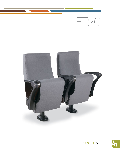

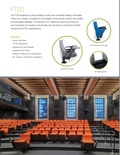# FT20

The FT20 auditorium chair provides comfort and versatility making it the ideal choice for a variety of auditorium and theater environments. Seven seat widths provide added flexibility. The optional 16.5" tablet arm opens and stows in one movement. Its superior size and die cast aluminum construction further enhance the FT20's applications.

#### Features

- Gravity Uplift Seat
- Tri-Pivot Mechanism
- Signature Flat Oval Pedestal
- Integrated Foot Covers
- Straight or Radius Row Configurations
- Flat, Sloped or Tiered Floor Installations



Armrest with Tablet



End Panel with Aisle Light



Wire Management

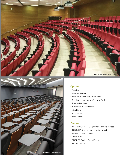![](_page_2_Picture_0.jpeg)

![](_page_2_Picture_1.jpeg)

#### **Options**

- Tablet Arm
- Wire Management
- Laminate or Wood Seat & Back Panel
- Upholstered, Laminate or Wood End Panel
- FSC Certified Wood
- Row Letters & Seat Numbers
- Aisle Lights
- Cup Holders
- Movable Base

#### Finishes

- SEAT & BACK PANELS: Upholstery, Laminate or Wood
- END PANELS: Upholstery, Laminate or Wood
- ARMRESTS: Cast Aluminum
- TABLET: Black
- TEXTILES: Fabric or Coated Fabric
- FRAME: Charcoal